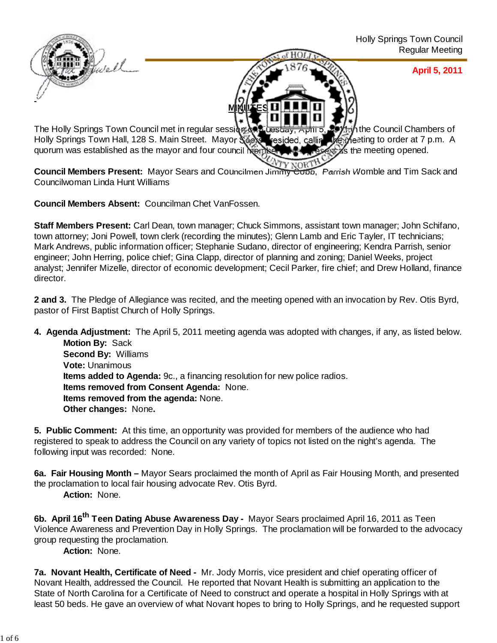

The Holly Springs Town Council met in regular session of the star, April 5, 2011 in the Council Chambers of Holly Springs Town Hall, 128 S. Main Street. Mayor Search resided, calling the meeting to order at 7 p.m. A Holly Springs Town Hall, 128 S. Main Street. Mayor Sears resided, calling quorum was established as the mayor and four council members were present as the meeting opened.

Council Members Present: Mayor Sears and Councilmen Jimmy Coob, Parrish Womble and Tim Sack and Councilwoman Linda Hunt Williams

**Council Members Absent:** Councilman Chet VanFossen.

**Staff Members Present:** Carl Dean, town manager; Chuck Simmons, assistant town manager; John Schifano, town attorney; Joni Powell, town clerk (recording the minutes); Glenn Lamb and Eric Tayler, IT technicians; Mark Andrews, public information officer; Stephanie Sudano, director of engineering; Kendra Parrish, senior engineer; John Herring, police chief; Gina Clapp, director of planning and zoning; Daniel Weeks, project analyst; Jennifer Mizelle, director of economic development; Cecil Parker, fire chief; and Drew Holland, finance director.

**2 and 3.** The Pledge of Allegiance was recited, and the meeting opened with an invocation by Rev. Otis Byrd, pastor of First Baptist Church of Holly Springs.

**4. Agenda Adjustment:** The April 5, 2011 meeting agenda was adopted with changes, if any, as listed below. **Motion By: Sack Second By:** Williams **Vote:** Unanimous **Items added to Agenda:** 9c., a financing resolution for new police radios. **Items removed from Consent Agenda:** None.

**Items removed from the agenda:** None.

**Other changes:** None**.**

**5. Public Comment:** At this time, an opportunity was provided for members of the audience who had registered to speak to address the Council on any variety of topics not listed on the night's agenda. The following input was recorded: None.

**6a. Fair Housing Month –** Mayor Sears proclaimed the month of April as Fair Housing Month, and presented the proclamation to local fair housing advocate Rev. Otis Byrd.

**Action:** None.

**6b. April 16th Teen Dating Abuse Awareness Day -** Mayor Sears proclaimed April 16, 2011 as Teen Violence Awareness and Prevention Day in Holly Springs. The proclamation will be forwarded to the advocacy group requesting the proclamation.

**Action:** None.

**7a. Novant Health, Certificate of Need -** Mr. Jody Morris, vice president and chief operating officer of Novant Health, addressed the Council. He reported that Novant Health is submitting an application to the State of North Carolina for a Certificate of Need to construct and operate a hospital in Holly Springs with at least 50 beds. He gave an overview of what Novant hopes to bring to Holly Springs, and he requested support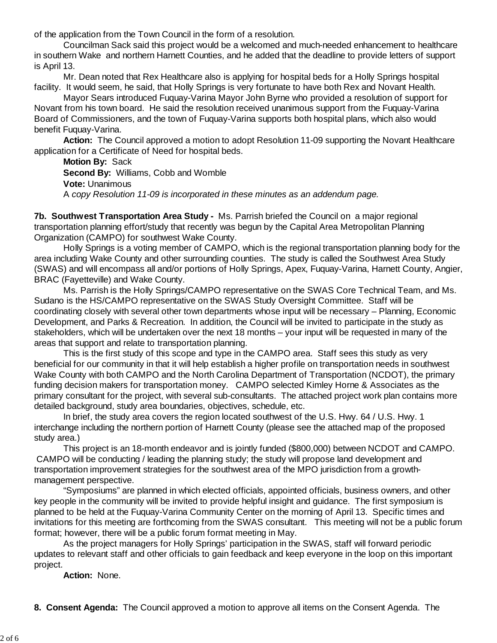of the application from the Town Council in the form of a resolution.

 Councilman Sack said this project would be a welcomed and much-needed enhancement to healthcare in southern Wake and northern Harnett Counties, and he added that the deadline to provide letters of support is April 13.

 Mr. Dean noted that Rex Healthcare also is applying for hospital beds for a Holly Springs hospital facility. It would seem, he said, that Holly Springs is very fortunate to have both Rex and Novant Health.

 Mayor Sears introduced Fuquay-Varina Mayor John Byrne who provided a resolution of support for Novant from his town board. He said the resolution received unanimous support from the Fuquay-Varina Board of Commissioners, and the town of Fuquay-Varina supports both hospital plans, which also would benefit Fuquay-Varina.

 **Action:** The Council approved a motion to adopt Resolution 11-09 supporting the Novant Healthcare application for a Certificate of Need for hospital beds.

**Motion By:** Sack **Second By:** Williams, Cobb and Womble **Vote:** Unanimous A *copy Resolution 11-09 is incorporated in these minutes as an addendum page.*

**7b. Southwest Transportation Area Study -** Ms. Parrish briefed the Council on a major regional transportation planning effort/study that recently was begun by the Capital Area Metropolitan Planning Organization (CAMPO) for southwest Wake County.

 Holly Springs is a voting member of CAMPO, which is the regional transportation planning body for the area including Wake County and other surrounding counties. The study is called the Southwest Area Study (SWAS) and will encompass all and/or portions of Holly Springs, Apex, Fuquay-Varina, Harnett County, Angier, BRAC (Fayetteville) and Wake County.

 Ms. Parrish is the Holly Springs/CAMPO representative on the SWAS Core Technical Team, and Ms. Sudano is the HS/CAMPO representative on the SWAS Study Oversight Committee. Staff will be coordinating closely with several other town departments whose input will be necessary – Planning, Economic Development, and Parks & Recreation. In addition, the Council will be invited to participate in the study as stakeholders, which will be undertaken over the next 18 months – your input will be requested in many of the areas that support and relate to transportation planning.

 This is the first study of this scope and type in the CAMPO area. Staff sees this study as very beneficial for our community in that it will help establish a higher profile on transportation needs in southwest Wake County with both CAMPO and the North Carolina Department of Transportation (NCDOT), the primary funding decision makers for transportation money. CAMPO selected Kimley Horne & Associates as the primary consultant for the project, with several sub-consultants. The attached project work plan contains more detailed background, study area boundaries, objectives, schedule, etc.

 In brief, the study area covers the region located southwest of the U.S. Hwy. 64 / U.S. Hwy. 1 interchange including the northern portion of Harnett County (please see the attached map of the proposed study area.)

 This project is an 18-month endeavor and is jointly funded (\$800,000) between NCDOT and CAMPO. CAMPO will be conducting / leading the planning study; the study will propose land development and transportation improvement strategies for the southwest area of the MPO jurisdiction from a growthmanagement perspective.

 "Symposiums" are planned in which elected officials, appointed officials, business owners, and other key people in the community will be invited to provide helpful insight and guidance. The first symposium is planned to be held at the Fuquay-Varina Community Center on the morning of April 13. Specific times and invitations for this meeting are forthcoming from the SWAS consultant. This meeting will not be a public forum format; however, there will be a public forum format meeting in May.

 As the project managers for Holly Springs' participation in the SWAS, staff will forward periodic updates to relevant staff and other officials to gain feedback and keep everyone in the loop on this important project.

**Action:** None.

**8. Consent Agenda:** The Council approved a motion to approve all items on the Consent Agenda. The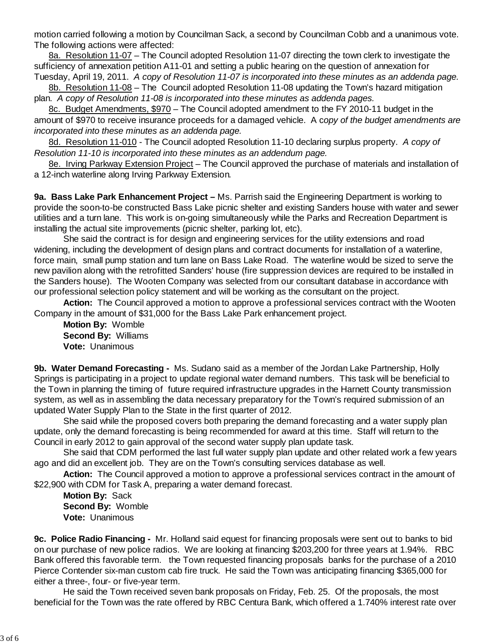motion carried following a motion by Councilman Sack, a second by Councilman Cobb and a unanimous vote. The following actions were affected:

8a. Resolution 11-07 – The Council adopted Resolution 11-07 directing the town clerk to investigate the sufficiency of annexation petition A11-01 and setting a public hearing on the question of annexation for Tuesday, April 19, 2011. *A copy of Resolution 11-07 is incorporated into these minutes as an addenda page.*

8b. Resolution 11-08 – The Council adopted Resolution 11-08 updating the Town's hazard mitigation plan. *A copy of Resolution 11-08 is incorporated into these minutes as addenda pages.*

8c. Budget Amendments, \$970 – The Council adopted amendment to the FY 2010-11 budget in the amount of \$970 to receive insurance proceeds for a damaged vehicle.A c*opy of the budget amendments are incorporated into these minutes as an addenda page.*

8d. Resolution 11-010 - The Council adopted Resolution 11-10 declaring surplus property. *A copy of Resolution 11-10 is incorporated into these minutes as an addendum page.*

8e. Irving Parkway Extension Project – The Council approved the purchase of materials and installation of a 12-inch waterline along Irving Parkway Extension*.*

**9a. Bass Lake Park Enhancement Project –** Ms. Parrish said the Engineering Department is working to provide the soon-to-be constructed Bass Lake picnic shelter and existing Sanders house with water and sewer utilities and a turn lane. This work is on-going simultaneously while the Parks and Recreation Department is installing the actual site improvements (picnic shelter, parking lot, etc).

 She said the contract is for design and engineering services for the utility extensions and road widening, including the development of design plans and contract documents for installation of a waterline, force main, small pump station and turn lane on Bass Lake Road. The waterline would be sized to serve the new pavilion along with the retrofitted Sanders' house (fire suppression devices are required to be installed in the Sanders house). The Wooten Company was selected from our consultant database in accordance with our professional selection policy statement and will be working as the consultant on the project.

**Action:** The Council approved a motion to approve a professional services contract with the Wooten Company in the amount of \$31,000 for the Bass Lake Park enhancement project.

**Motion By:** Womble **Second By:** Williams **Vote:** Unanimous

**9b. Water Demand Forecasting -** Ms. Sudano said as a member of the Jordan Lake Partnership, Holly Springs is participating in a project to update regional water demand numbers. This task will be beneficial to the Town in planning the timing of future required infrastructure upgrades in the Harnett County transmission system, as well as in assembling the data necessary preparatory for the Town's required submission of an updated Water Supply Plan to the State in the first quarter of 2012.

 She said while the proposed covers both preparing the demand forecasting and a water supply plan update, only the demand forecasting is being recommended for award at this time. Staff will return to the Council in early 2012 to gain approval of the second water supply plan update task.

 She said that CDM performed the last full water supply plan update and other related work a few years ago and did an excellent job. They are on the Town's consulting services database as well.

**Action:** The Council approved a motion to approve a professional services contract in the amount of \$22,900 with CDM for Task A, preparing a water demand forecast.

**Motion By:** Sack **Second By:** Womble **Vote:** Unanimous

**9c. Police Radio Financing -** Mr. Holland said equest for financing proposals were sent out to banks to bid on our purchase of new police radios. We are looking at financing \$203,200 for three years at 1.94%. RBC Bank offered this favorable term. the Town requested financing proposals banks for the purchase of a 2010 Pierce Contender six-man custom cab fire truck. He said the Town was anticipating financing \$365,000 for either a three-, four- or five-year term.

He said the Town received seven bank proposals on Friday, Feb. 25. Of the proposals, the most beneficial for the Town was the rate offered by RBC Centura Bank, which offered a 1.740% interest rate over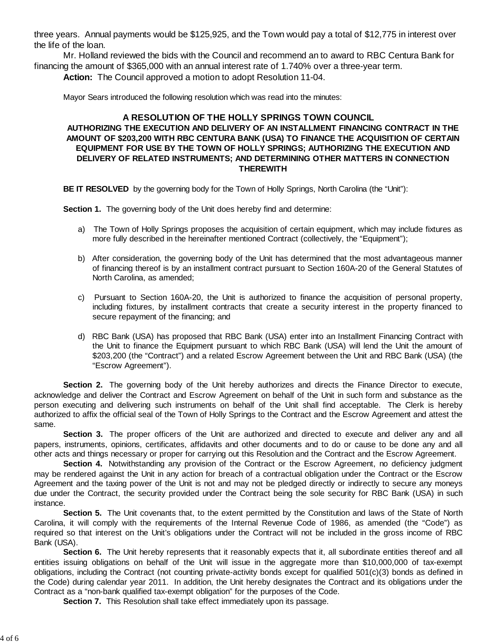three years. Annual payments would be \$125,925, and the Town would pay a total of \$12,775 in interest over the life of the loan.

Mr. Holland reviewed the bids with the Council and recommend an to award to RBC Centura Bank for financing the amount of \$365,000 with an annual interest rate of 1.740% over a three-year term. **Action:** The Council approved a motion to adopt Resolution 11-04.

Mayor Sears introduced the following resolution which was read into the minutes:

## **A RESOLUTION OF THE HOLLY SPRINGS TOWN COUNCIL AUTHORIZING THE EXECUTION AND DELIVERY OF AN INSTALLMENT FINANCING CONTRACT IN THE AMOUNT OF \$203,200 WITH RBC CENTURA BANK (USA) TO FINANCE THE ACQUISITION OF CERTAIN EQUIPMENT FOR USE BY THE TOWN OF HOLLY SPRINGS; AUTHORIZING THE EXECUTION AND DELIVERY OF RELATED INSTRUMENTS; AND DETERMINING OTHER MATTERS IN CONNECTION THEREWITH**

**BE IT RESOLVED** by the governing body for the Town of Holly Springs, North Carolina (the "Unit"):

**Section 1.** The governing body of the Unit does hereby find and determine:

- a) The Town of Holly Springs proposes the acquisition of certain equipment, which may include fixtures as more fully described in the hereinafter mentioned Contract (collectively, the "Equipment");
- b) After consideration, the governing body of the Unit has determined that the most advantageous manner of financing thereof is by an installment contract pursuant to Section 160A-20 of the General Statutes of North Carolina, as amended;
- c) Pursuant to Section 160A-20, the Unit is authorized to finance the acquisition of personal property, including fixtures, by installment contracts that create a security interest in the property financed to secure repayment of the financing; and
- d) RBC Bank (USA) has proposed that RBC Bank (USA) enter into an Installment Financing Contract with the Unit to finance the Equipment pursuant to which RBC Bank (USA) will lend the Unit the amount of \$203,200 (the "Contract") and a related Escrow Agreement between the Unit and RBC Bank (USA) (the "Escrow Agreement").

**Section 2.** The governing body of the Unit hereby authorizes and directs the Finance Director to execute, acknowledge and deliver the Contract and Escrow Agreement on behalf of the Unit in such form and substance as the person executing and delivering such instruments on behalf of the Unit shall find acceptable. The Clerk is hereby authorized to affix the official seal of the Town of Holly Springs to the Contract and the Escrow Agreement and attest the same.

**Section 3.** The proper officers of the Unit are authorized and directed to execute and deliver any and all papers, instruments, opinions, certificates, affidavits and other documents and to do or cause to be done any and all other acts and things necessary or proper for carrying out this Resolution and the Contract and the Escrow Agreement.

Section 4. Notwithstanding any provision of the Contract or the Escrow Agreement, no deficiency judgment may be rendered against the Unit in any action for breach of a contractual obligation under the Contract or the Escrow Agreement and the taxing power of the Unit is not and may not be pledged directly or indirectly to secure any moneys due under the Contract, the security provided under the Contract being the sole security for RBC Bank (USA) in such instance.

**Section 5.** The Unit covenants that, to the extent permitted by the Constitution and laws of the State of North Carolina, it will comply with the requirements of the Internal Revenue Code of 1986, as amended (the "Code") as required so that interest on the Unit's obligations under the Contract will not be included in the gross income of RBC Bank (USA).

**Section 6.** The Unit hereby represents that it reasonably expects that it, all subordinate entities thereof and all entities issuing obligations on behalf of the Unit will issue in the aggregate more than \$10,000,000 of tax-exempt obligations, including the Contract (not counting private-activity bonds except for qualified 501(c)(3) bonds as defined in the Code) during calendar year 2011. In addition, the Unit hereby designates the Contract and its obligations under the Contract as a "non-bank qualified tax-exempt obligation" for the purposes of the Code.

**Section 7.** This Resolution shall take effect immediately upon its passage.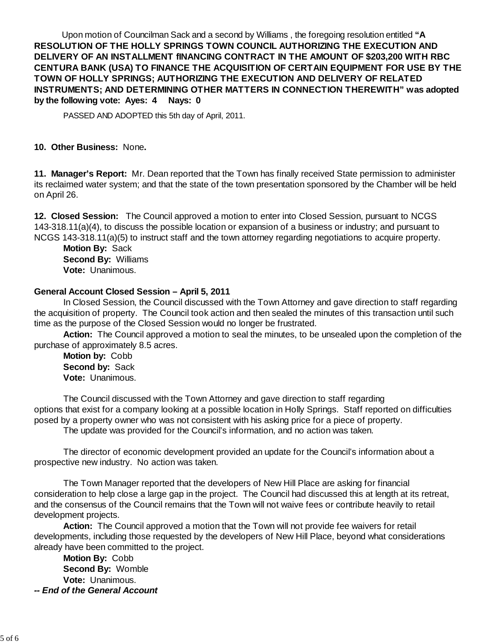Upon motion of Councilman Sack and a second by Williams , the foregoing resolution entitled **"A RESOLUTION OF THE HOLLY SPRINGS TOWN COUNCIL AUTHORIZING THE EXECUTION AND DELIVERY OF AN INSTALLMENT fINANCING CONTRACT IN THE AMOUNT OF \$203,200 WITH RBC CENTURA BANK (USA) TO FINANCE THE ACQUISITION OF CERTAIN EQUIPMENT FOR USE BY THE TOWN OF HOLLY SPRINGS; AUTHORIZING THE EXECUTION AND DELIVERY OF RELATED INSTRUMENTS; AND DETERMINING OTHER MATTERS IN CONNECTION THEREWITH" was adopted by the following vote: Ayes: 4 Nays: 0**

PASSED AND ADOPTED this 5th day of April, 2011.

## **10. Other Business:** None**.**

**11. Manager's Report:** Mr. Dean reported that the Town has finally received State permission to administer its reclaimed water system; and that the state of the town presentation sponsored by the Chamber will be held on April 26.

**12. Closed Session:** The Council approved a motion to enter into Closed Session, pursuant to NCGS 143-318.11(a)(4), to discuss the possible location or expansion of a business or industry; and pursuant to NCGS 143-318.11(a)(5) to instruct staff and the town attorney regarding negotiations to acquire property.

 **Motion By:** Sack **Second By:** Williams **Vote:** Unanimous.

## **General Account Closed Session – April 5, 2011**

 In Closed Session, the Council discussed with the Town Attorney and gave direction to staff regarding the acquisition of property. The Council took action and then sealed the minutes of this transaction until such time as the purpose of the Closed Session would no longer be frustrated.

 **Action:** The Council approved a motion to seal the minutes, to be unsealed upon the completion of the purchase of approximately 8.5 acres.

 **Motion by:** Cobb **Second by:** Sack **Vote:** Unanimous.

 The Council discussed with the Town Attorney and gave direction to staff regarding options that exist for a company looking at a possible location in Holly Springs. Staff reported on difficulties posed by a property owner who was not consistent with his asking price for a piece of property.

The update was provided for the Council's information, and no action was taken.

 The director of economic development provided an update for the Council's information about a prospective new industry. No action was taken.

 The Town Manager reported that the developers of New Hill Place are asking for financial consideration to help close a large gap in the project. The Council had discussed this at length at its retreat, and the consensus of the Council remains that the Town will not waive fees or contribute heavily to retail development projects.

 **Action:** The Council approved a motion that the Town will not provide fee waivers for retail developments, including those requested by the developers of New Hill Place, beyond what considerations already have been committed to the project.

 **Motion By:** Cobb **Second By:** Womble **Vote:** Unanimous. *-- End of the General Account*